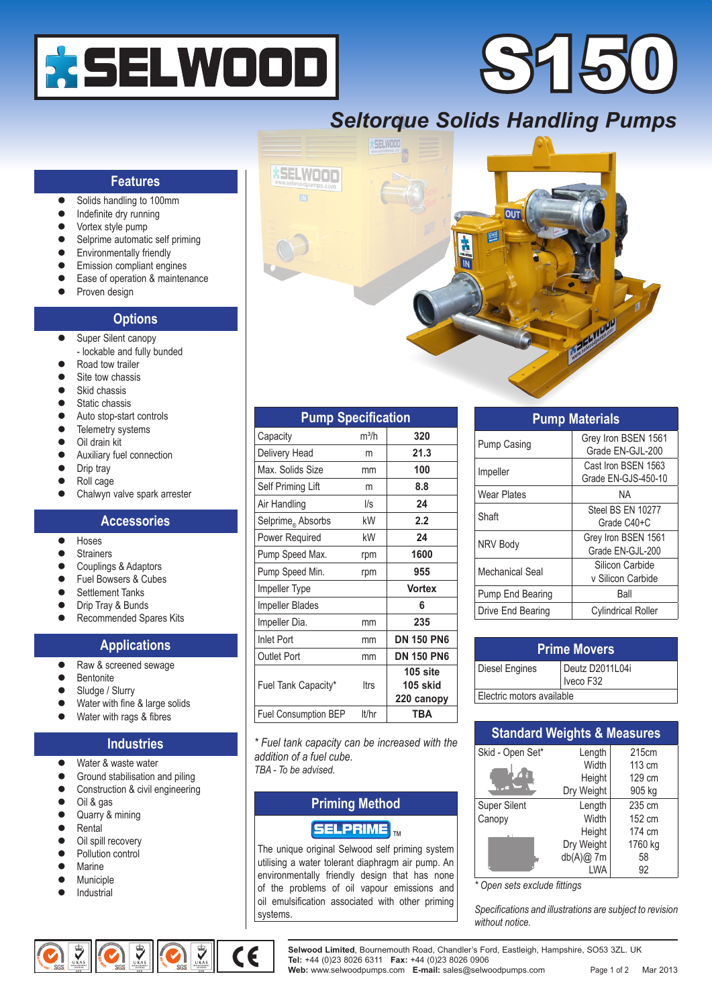

# 5150

## *Seltorque Solids Handling Pumps*



| <b>Pump Specification</b>     |             |                                      |  |  |
|-------------------------------|-------------|--------------------------------------|--|--|
| Capacity                      | $m^3/h$     | 320                                  |  |  |
| Delivery Head                 | m           | 21.3                                 |  |  |
| Max. Solids Size              | mm          | 100                                  |  |  |
| Self Priming Lift             | m           | 8.8                                  |  |  |
| Air Handling                  | $\sqrt{s}$  | 24                                   |  |  |
| Selprime <sub>®</sub> Absorbs | kW          | 2.2                                  |  |  |
| Power Required                | kW          | 24                                   |  |  |
| Pump Speed Max.               | rpm         | 1600                                 |  |  |
| Pump Speed Min.               | rpm         | 955                                  |  |  |
| <b>Impeller Type</b>          |             | <b>Vortex</b>                        |  |  |
| <b>Impeller Blades</b>        |             | 6                                    |  |  |
| Impeller Dia.                 | mm          | 235                                  |  |  |
| <b>Inlet Port</b>             | mm          | <b>DN 150 PN6</b>                    |  |  |
| <b>Outlet Port</b>            | mm          | <b>DN 150 PN6</b>                    |  |  |
| Fuel Tank Capacity*           | <b>Itrs</b> | $105$ site<br>105 skid<br>220 canopy |  |  |
| <b>Fuel Consumption BEP</b>   | lt/hr       | TBA                                  |  |  |

*\* Fuel tank capacity can be increased with the addition of a fuel cube.*

*TBA - To be advised.*

#### **Priming Method**

#### $\left[\mathsf{SELECTRIME}\right]_{\sf tw}$

The unique original Selwood self priming system utilising a water tolerant diaphragm air pump. An environmentally friendly design that has none of the problems of oil vapour emissions and oil emulsification associated with other priming systems.

| <b>Pump Materials</b> |                                            |  |  |
|-----------------------|--------------------------------------------|--|--|
| Pump Casing           | Grey Iron BSEN 1561<br>Grade EN-GJL-200    |  |  |
| Impeller              | Cast Iron BSEN 1563<br>Grade EN-GJS-450-10 |  |  |
| Wear Plates           | ΝA                                         |  |  |
| Shaft                 | Steel BS EN 10277<br>Grade C40+C           |  |  |
| NRV Body              | Grey Iron BSEN 1561<br>Grade EN-GJL-200    |  |  |
| Mechanical Seal       | Silicon Carbide<br>v Silicon Carbide       |  |  |
| Pump End Bearing      | Ball                                       |  |  |
| Drive End Bearing     | <b>Cylindrical Roller</b>                  |  |  |

| <b>Prime Movers</b>       |                              |  |
|---------------------------|------------------------------|--|
| Diesel Engines            | Deutz D2011L04i<br>Iveco F32 |  |
| Electric motors available |                              |  |

| <b>Standard Weights &amp; Measures</b> |             |         |  |  |
|----------------------------------------|-------------|---------|--|--|
| Skid - Open Set*                       | Length      | 215cm   |  |  |
|                                        | Width       | 113 cm  |  |  |
|                                        | Height      | 129 cm  |  |  |
|                                        | Dry Weight  | 905 kg  |  |  |
| <b>Super Silent</b>                    | Length      | 235 cm  |  |  |
| Canopy                                 | Width       | 152 cm  |  |  |
|                                        | Height      | 174 cm  |  |  |
|                                        | Dry Weight  | 1760 kg |  |  |
|                                        | $db(A)@$ 7m | 58      |  |  |
|                                        | LWA         | 92      |  |  |

*\* Open sets exclude fittings*

*Specifications and illustrations are subject to revision without notice.*

#### **Features**

- Solids handling to 100mm
- Indefinite dry running
- Vortex style pump
- Selprime automatic self priming
- Environmentally friendly
- Emission compliant engines
- Ease of operation & maintenance
- Proven design

#### **Options**

- Super Silent canopy
- lockable and fully bunded Road tow trailer
- Site tow chassis
- Skid chassis
- Static chassis
- Auto stop-start controls
- Telemetry systems
- Oil drain kit
- Auxiliary fuel connection
- Drip tray
- Roll cage
- Chalwyn valve spark arrester

#### **Accessories**

- **•** Hoses
- **Strainers**
- Couplings & Adaptors
- Fuel Bowsers & Cubes
- Settlement Tanks
- Drip Tray & Bunds
- Recommended Spares Kits

### **Applications**

- Raw & screened sewage
- **•** Bentonite
- Sludge / Slurry
- Water with fine & large solids
- Water with rags & fibres

#### **Industries**

- Water & waste water
- Ground stabilisation and piling
- Construction & civil engineering
- Oil & gas
- Quarry & mining
- Rental
- 
- Oil spill recovery Pollution control
- Marine
- Municiple
- Industrial